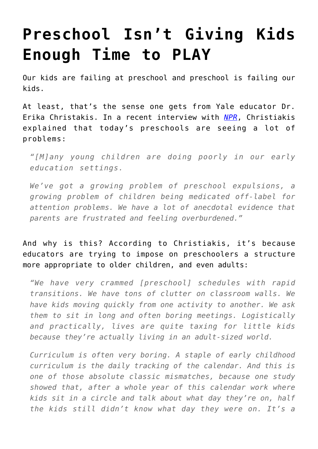## **[Preschool Isn't Giving Kids](https://intellectualtakeout.org/2016/02/preschool-isnt-giving-kids-enough-time-to-play/) [Enough Time to PLAY](https://intellectualtakeout.org/2016/02/preschool-isnt-giving-kids-enough-time-to-play/)**

Our kids are failing at preschool and preschool is failing our kids.

At least, that's the sense one gets from Yale educator Dr. Erika Christakis. In a recent interview with *[NPR](http://www.npr.org/sections/ed/2016/02/09/465557430/what-kids-need-from-grown-ups-but-arent-getting)*, Christiakis explained that today's preschools are seeing a lot of problems:

*"[M]any young children are doing poorly in our early education settings.*

*We've got a growing problem of preschool expulsions, a growing problem of children being medicated off-label for attention problems. We have a lot of anecdotal evidence that parents are frustrated and feeling overburdened."*

## And why is this? According to Christiakis, it's because educators are trying to impose on preschoolers a structure more appropriate to older children, and even adults:

*"We have very crammed [preschool] schedules with rapid transitions. We have tons of clutter on classroom walls. We have kids moving quickly from one activity to another. We ask them to sit in long and often boring meetings. Logistically and practically, lives are quite taxing for little kids because they're actually living in an adult-sized world.*

*Curriculum is often very boring. A staple of early childhood curriculum is the daily tracking of the calendar. And this is one of those absolute classic mismatches, because one study showed that, after a whole year of this calendar work where kids sit in a circle and talk about what day they're on, half the kids still didn't know what day they were on. It's a*